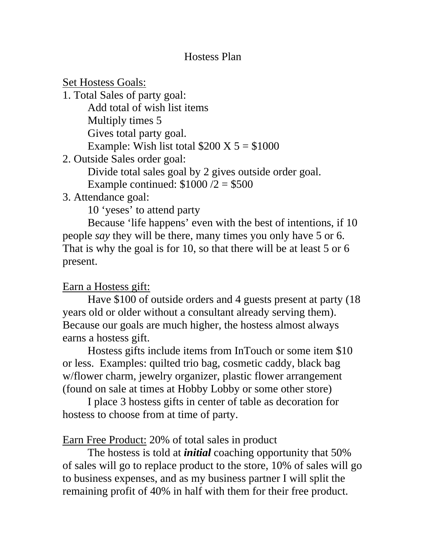#### Hostess Plan

**Set Hostess Goals:** 1. Total Sales of party goal: Add total of wish list items Multiply times 5 Gives total party goal. Example: Wish list total  $$200 \text{ X } 5 = $1000$ 2. Outside Sales order goal: Divide total sales goal by 2 gives outside order goal.

Example continued:  $$1000 / 2 = $500$ 

# 3. Attendance goal:

10 'yeses' to attend party

 Because 'life happens' even with the best of intentions, if 10 people *say* they will be there, many times you only have 5 or 6. That is why the goal is for 10, so that there will be at least 5 or 6 present.

# Earn a Hostess gift:

 Have \$100 of outside orders and 4 guests present at party (18 years old or older without a consultant already serving them). Because our goals are much higher, the hostess almost always earns a hostess gift.

 Hostess gifts include items from InTouch or some item \$10 or less. Examples: quilted trio bag, cosmetic caddy, black bag w/flower charm, jewelry organizer, plastic flower arrangement (found on sale at times at Hobby Lobby or some other store)

 I place 3 hostess gifts in center of table as decoration for hostess to choose from at time of party.

# Earn Free Product: 20% of total sales in product

 The hostess is told at *initial* coaching opportunity that 50% of sales will go to replace product to the store, 10% of sales will go to business expenses, and as my business partner I will split the remaining profit of 40% in half with them for their free product.